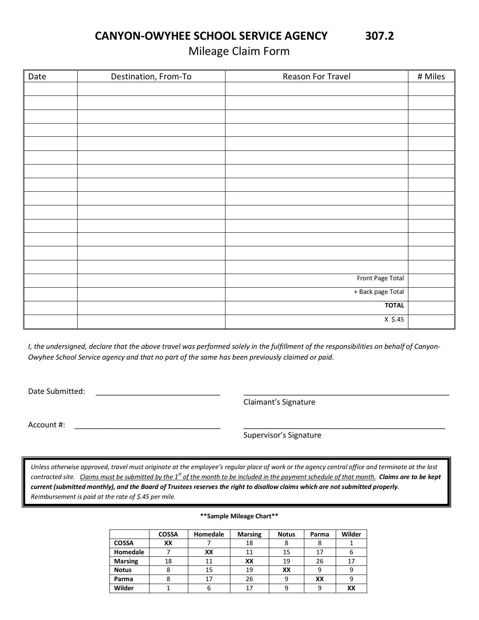CANYON-OWYHEE SCHOOL SERVICE AGENCY 307.2

Mileage Claim Form

| Date | Destination, From-To | Reason For Travel | # Miles |
|------|----------------------|-------------------|---------|
|      |                      |                   |         |
|      |                      |                   |         |
|      |                      |                   |         |
|      |                      |                   |         |
|      |                      |                   |         |
|      |                      |                   |         |
|      |                      |                   |         |
|      |                      |                   |         |
|      |                      |                   |         |
|      |                      |                   |         |
|      |                      |                   |         |
|      |                      |                   |         |
|      |                      |                   |         |
|      |                      |                   |         |
|      |                      | Front Page Total  |         |
|      |                      | + Back page Total |         |
|      |                      | <b>TOTAL</b>      |         |
|      |                      | $X$ \$.45         |         |

I, the undersigned, declare that the above travel was performed solely in the fulfillment of the responsibilities on behalf of Canyon-Owyhee School Service agency and that no part of the same has been previously claimed or paid.

Date Submitted:

Claimant's Signature

\_\_\_\_\_\_\_\_\_\_\_\_\_\_\_\_\_\_\_\_\_\_\_\_\_\_\_\_\_\_\_\_\_\_\_\_\_\_\_\_\_\_\_\_\_\_\_\_

Account #: \_\_\_\_\_\_\_\_\_\_\_\_\_\_\_\_\_\_\_\_\_\_\_\_\_\_\_\_\_\_\_\_\_\_ \_\_\_\_\_\_\_\_\_\_\_\_\_\_\_\_\_\_\_\_\_\_\_\_\_\_\_\_\_\_\_\_\_\_\_\_\_\_\_\_\_\_\_\_\_\_\_

Supervisor's Signature

Unless otherwise approved, travel must originate at the employee's regular place of work or the agency central office and terminate at the last contracted site. Claims must be submitted by the 1<sup>st</sup> of the month to be included in the payment schedule of that month. **Claims are to be kept** current (submitted monthly), and the Board of Trustees reserves the right to disallow claims which are not submitted properly. Reimbursement is paid at the rate of \$.45 per mile.

## COSSA | Homedale | Marsing | Notus | Parma | Wilder COSSA | XX | 7 | 18 | 8 | 8 | 1 Homedale 7 | XX | 11 | 15 | 17 | 6 Marsing 18 11 | XX | 19 | 26 | 17 Notus | 8 | 15 | 19 | XX | 9 | 9 Parma | 8 | 17 | 26 | 9 | XX | 9 Wilder | 1 | 6 | 17 | 9 | 9 | XX

## \*\*Sample Mileage Chart\*\*